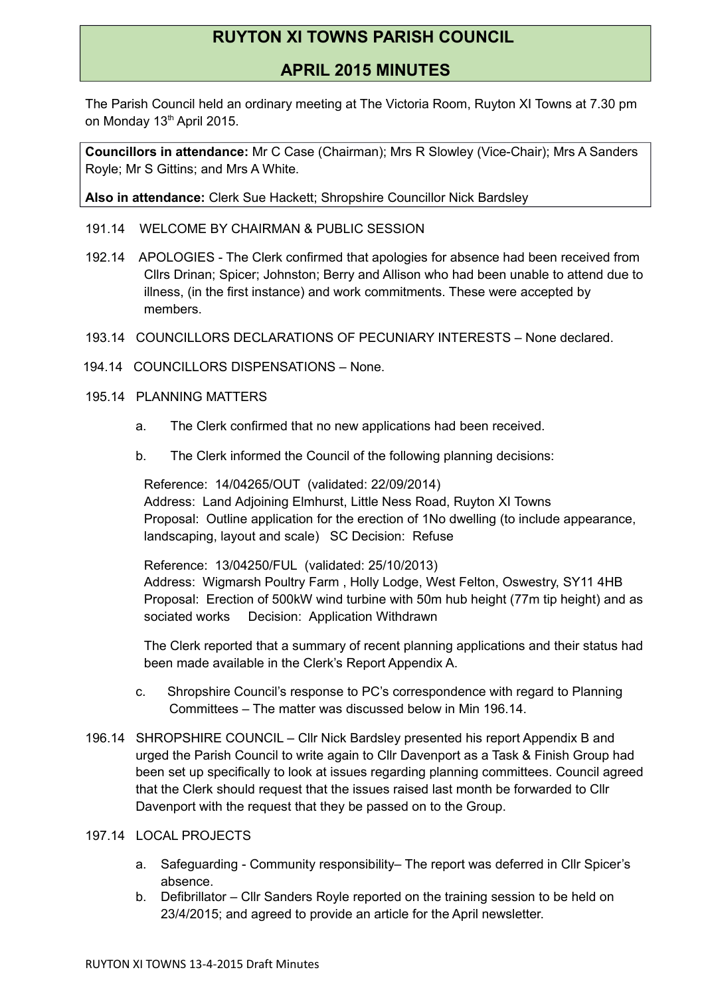# **RUYTON XI TOWNS PARISH COUNCIL**

## **APRIL 2015 MINUTES**

The Parish Council held an ordinary meeting at The Victoria Room, Ruyton XI Towns at 7.30 pm on Monday 13<sup>th</sup> April 2015.

**Councillors in attendance:** Mr C Case (Chairman); Mrs R Slowley (Vice-Chair); Mrs A Sanders Royle; Mr S Gittins; and Mrs A White.

**Also in attendance:** Clerk Sue Hackett; Shropshire Councillor Nick Bardsley

- 191.14 WELCOME BY CHAIRMAN & PUBLIC SESSION
- 192.14 APOLOGIES The Clerk confirmed that apologies for absence had been received from Cllrs Drinan; Spicer; Johnston; Berry and Allison who had been unable to attend due to illness, (in the first instance) and work commitments. These were accepted by members.
- 193.14 COUNCILLORS DECLARATIONS OF PECUNIARY INTERESTS None declared.
- 194.14 COUNCILLORS DISPENSATIONS None.
- 195.14 PLANNING MATTERS
	- a. The Clerk confirmed that no new applications had been received.
	- b. The Clerk informed the Council of the following planning decisions:

Reference: 14/04265/OUT (validated: 22/09/2014) Address: Land Adjoining Elmhurst, Little Ness Road, Ruyton XI Towns Proposal: Outline application for the erection of 1No dwelling (to include appearance, landscaping, layout and scale) SC Decision: Refuse

Reference: 13/04250/FUL (validated: 25/10/2013) Address: Wigmarsh Poultry Farm , Holly Lodge, West Felton, Oswestry, SY11 4HB Proposal: Erection of 500kW wind turbine with 50m hub height (77m tip height) and as sociated works Decision: Application Withdrawn

The Clerk reported that a summary of recent planning applications and their status had been made available in the Clerk's Report Appendix A.

- c. Shropshire Council's response to PC's correspondence with regard to Planning Committees – The matter was discussed below in Min 196.14.
- 196.14 SHROPSHIRE COUNCIL Cllr Nick Bardsley presented his report Appendix B and urged the Parish Council to write again to Cllr Davenport as a Task & Finish Group had been set up specifically to look at issues regarding planning committees. Council agreed that the Clerk should request that the issues raised last month be forwarded to Cllr Davenport with the request that they be passed on to the Group.

### 197.14 LOCAL PROJECTS

- a. Safeguarding Community responsibility– The report was deferred in Cllr Spicer's absence.
- b. Defibrillator Cllr Sanders Royle reported on the training session to be held on 23/4/2015; and agreed to provide an article for the April newsletter.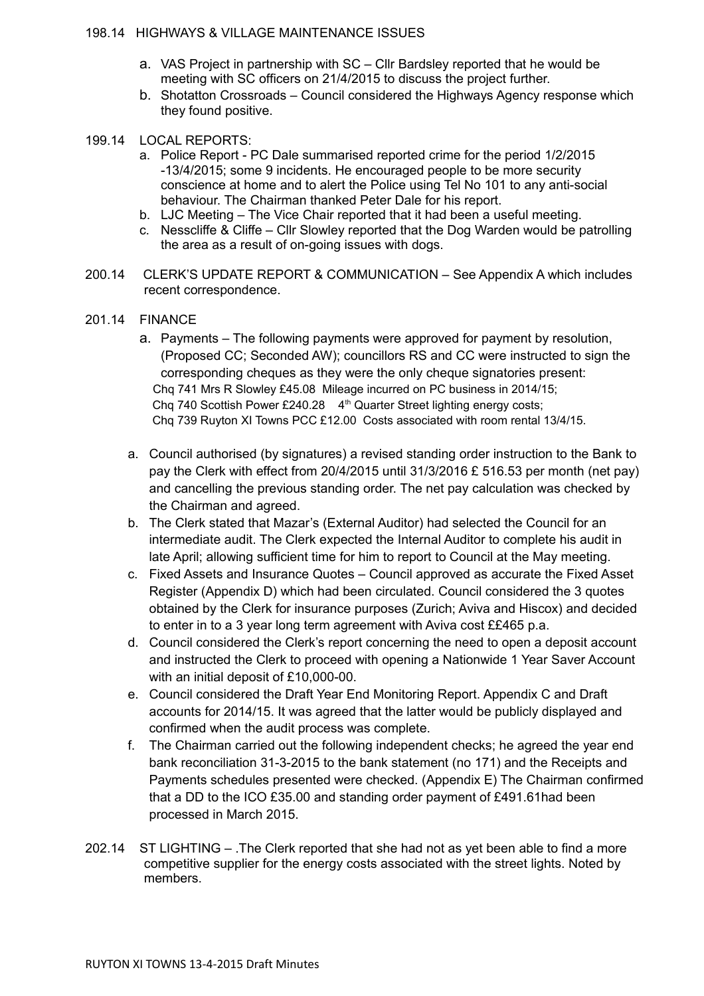### 198.14 HIGHWAYS & VILLAGE MAINTENANCE ISSUES

- a. VAS Project in partnership with SC Cllr Bardsley reported that he would be meeting with SC officers on 21/4/2015 to discuss the project further.
- b. Shotatton Crossroads Council considered the Highways Agency response which they found positive.

#### 199.14 LOCAL REPORTS:

- a. Police Report PC Dale summarised reported crime for the period 1/2/2015 -13/4/2015; some 9 incidents. He encouraged people to be more security conscience at home and to alert the Police using Tel No 101 to any anti-social behaviour. The Chairman thanked Peter Dale for his report.
- b. LJC Meeting The Vice Chair reported that it had been a useful meeting.
- c. Nesscliffe & Cliffe Cllr Slowley reported that the Dog Warden would be patrolling the area as a result of on-going issues with dogs.
- 200.14 CLERK'S UPDATE REPORT & COMMUNICATION See Appendix A which includes recent correspondence.
- 201.14 FINANCE
	- a. Payments The following payments were approved for payment by resolution, (Proposed CC; Seconded AW); councillors RS and CC were instructed to sign the corresponding cheques as they were the only cheque signatories present: Chq 741 Mrs R Slowley £45.08 Mileage incurred on PC business in 2014/15; Cha 740 Scottish Power £240.28  $4<sup>th</sup>$  Quarter Street lighting energy costs: Chq 739 Ruyton XI Towns PCC £12.00 Costs associated with room rental 13/4/15.
	- a. Council authorised (by signatures) a revised standing order instruction to the Bank to pay the Clerk with effect from 20/4/2015 until 31/3/2016 £ 516.53 per month (net pay) and cancelling the previous standing order. The net pay calculation was checked by the Chairman and agreed.
	- b. The Clerk stated that Mazar's (External Auditor) had selected the Council for an intermediate audit. The Clerk expected the Internal Auditor to complete his audit in late April; allowing sufficient time for him to report to Council at the May meeting.
	- c. Fixed Assets and Insurance Quotes Council approved as accurate the Fixed Asset Register (Appendix D) which had been circulated. Council considered the 3 quotes obtained by the Clerk for insurance purposes (Zurich; Aviva and Hiscox) and decided to enter in to a 3 year long term agreement with Aviva cost ££465 p.a.
	- d. Council considered the Clerk's report concerning the need to open a deposit account and instructed the Clerk to proceed with opening a Nationwide 1 Year Saver Account with an initial deposit of £10,000-00.
	- e. Council considered the Draft Year End Monitoring Report. Appendix C and Draft accounts for 2014/15. It was agreed that the latter would be publicly displayed and confirmed when the audit process was complete.
	- f. The Chairman carried out the following independent checks; he agreed the year end bank reconciliation 31-3-2015 to the bank statement (no 171) and the Receipts and Payments schedules presented were checked. (Appendix E) The Chairman confirmed that a DD to the ICO £35.00 and standing order payment of £491.61had been processed in March 2015.
- 202.14 ST LIGHTING .The Clerk reported that she had not as yet been able to find a more competitive supplier for the energy costs associated with the street lights. Noted by members.